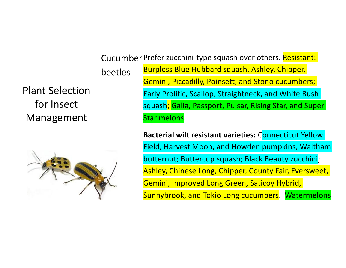Plant Selection for Insect Management



Cucumber Prefer zucchini-type squash over others. Resistant: beetles Burpless Blue Hubbard squash, Ashley, Chipper, Gemini, Piccadilly, Poinsett, and Stono cucumbers; Early Prolific, Scallop, Straightneck, and White Bush squash; Galia, Passport, Pulsar, Rising Star, and Super Star melons.

> **Bacterial wilt resistant varieties:** Connecticut Yellow Field, Harvest Moon, and Howden pumpkins; Waltham butternut; Buttercup squash; Black Beauty zucchini; Ashley, Chinese Long, Chipper, County Fair, Eversweet, Gemini, Improved Long Green, Saticoy Hybrid, Sunnybrook, and Tokio Long cucumbers. Watermelons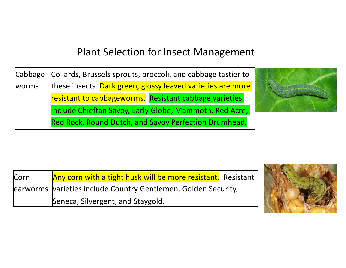## Plant Selection for Insect Management

Cabbage worms Collards, Brussels sprouts, broccoli, and cabbage tastier to these insects. Dark green, glossy leaved varieties are more resistant to cabbageworms. Resistant cabbage varieties include Chieftan Savoy, Early Globe, Mammoth, Red Acre, Red Rock, Round Dutch, and Savoy Perfection Drumhead.



| <b>Corn</b> | Any corn with a tight husk will be more resistant. Resistant   |  |  |
|-------------|----------------------------------------------------------------|--|--|
|             | earworms varieties include Country Gentlemen, Golden Security, |  |  |
|             | Seneca, Silvergent, and Staygold.                              |  |  |